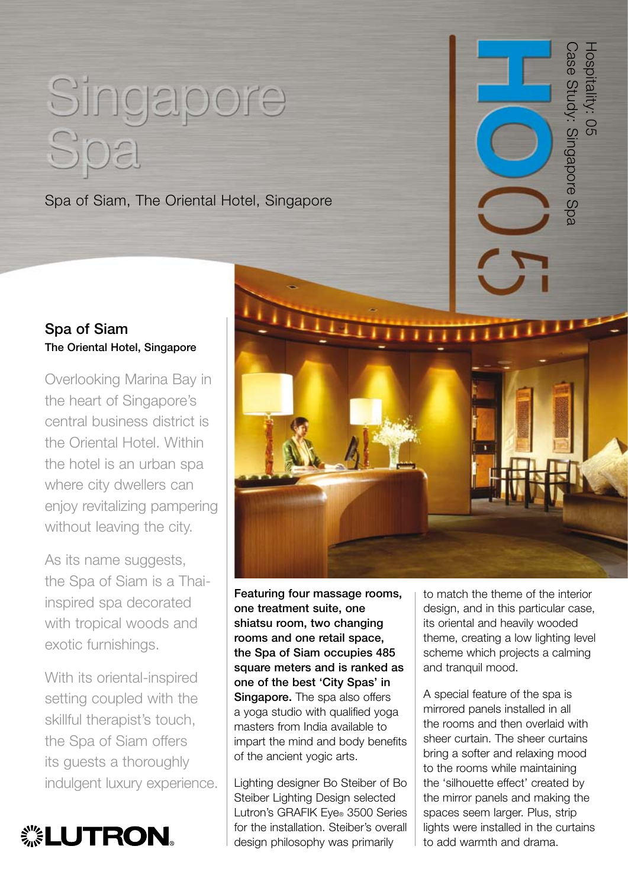## Singapore Spa

Spa of Siam, The Oriental Hotel, Singapore

## Spa of Siam The Oriental Hotel, Singapore

Overlooking Marina Bay in the heart of Singapore's central business district is the Oriental Hotel. Within the hotel is an urban spa where city dwellers can enjoy revitalizing pampering without leaving the city.

As its name suggests, the Spa of Siam is a Thaiinspired spa decorated with tropical woods and exotic furnishings.

With its oriental-inspired setting coupled with the skillful therapist's touch, the Spa of Siam offers its guests a thoroughly indulgent luxury experience.





Featuring four massage rooms, one treatment suite, one shiatsu room, two changing rooms and one retail space, the Spa of Siam occupies 485 square meters and is ranked as one of the best 'City Spas' in Singapore. The spa also offers a yoga studio with qualified yoga masters from India available to impart the mind and body benefits of the ancient yogic arts.

Lighting designer Bo Steiber of Bo Steiber Lighting Design selected Lutron's GRAFIK Eye® 3500 Series for the installation. Steiber's overall design philosophy was primarily

to match the theme of the interior design, and in this particular case, its oriental and heavily wooded theme, creating a low lighting level scheme which projects a calming and tranquil mood.

Case Study: Singapore Spa

Sase Study: Singapore Spa

Hospitality: 05

Hospitality: 05

A special feature of the spa is mirrored panels installed in all the rooms and then overlaid with sheer curtain. The sheer curtains bring a softer and relaxing mood to the rooms while maintaining the 'silhouette effect' created by the mirror panels and making the spaces seem larger. Plus, strip lights were installed in the curtains to add warmth and drama.